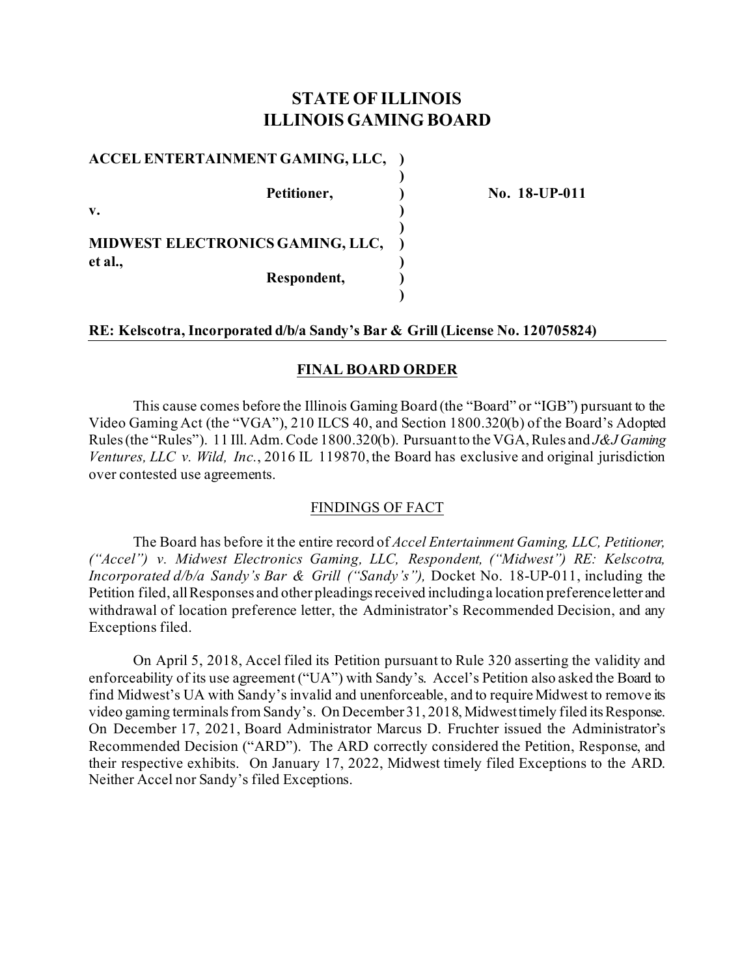# **STATE OF ILLINOIS ILLINOIS GAMING BOARD**

**)** 

**)** 

**)** 

#### **ACCEL ENTERTAINMENT GAMING, LLC, )**

**v. )** 

Petitioner, 2002) No. 18-UP-011

**MIDWEST ELECTRONICS GAMING, LLC, ) et al., ) Respondent, )** 

## **RE: Kelscotra, Incorporated d/b/a Sandy's Bar & Grill (License No. 120705824)**

## **FINAL BOARD ORDER**

This cause comes before the Illinois Gaming Board (the "Board" or "IGB") pursuant to the Video Gaming Act (the "VGA"), 210 ILCS 40, and Section 1800.320(b) of the Board's Adopted Rules (the "Rules"). 11 Ill. Adm. Code 1800.320(b). Pursuant to the VGA, Rules and *J&J Gaming Ventures, LLC v. Wild, Inc.*, 2016 IL 119870, the Board has exclusive and original jurisdiction over contested use agreements.

## FINDINGS OF FACT

The Board has before it the entire record of *Accel Entertainment Gaming, LLC, Petitioner, ("Accel") v. Midwest Electronics Gaming, LLC, Respondent, ("Midwest") RE: Kelscotra, Incorporated d/b/a Sandy's Bar & Grill ("Sandy's"),* Docket No. 18-UP-011, including the Petition filed, all Responses and other pleadings received including a location preference letter and withdrawal of location preference letter, the Administrator's Recommended Decision, and any Exceptions filed.

On April 5, 2018, Accel filed its Petition pursuant to Rule 320 asserting the validity and enforceability of its use agreement ("UA") with Sandy's. Accel's Petition also asked the Board to find Midwest's UA with Sandy's invalid and unenforceable, and to require Midwest to remove its video gaming terminals from Sandy's. On December 31, 2018, Midwesttimely filed its Response. On December 17, 2021, Board Administrator Marcus D. Fruchter issued the Administrator's Recommended Decision ("ARD"). The ARD correctly considered the Petition, Response, and their respective exhibits. On January 17, 2022, Midwest timely filed Exceptions to the ARD. Neither Accel nor Sandy's filed Exceptions.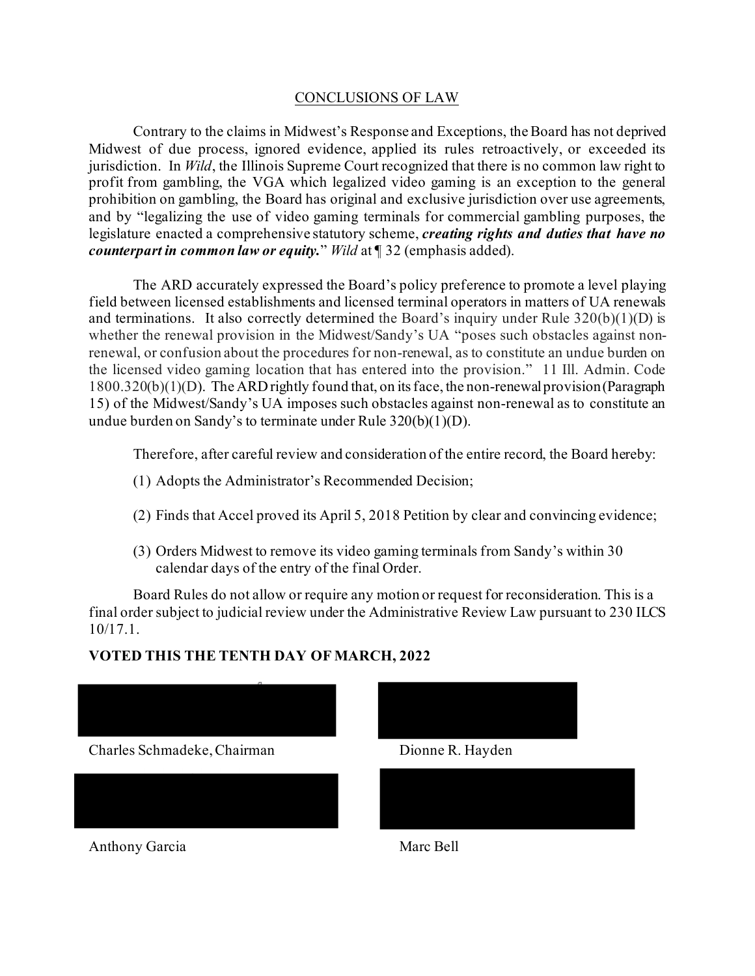## CONCLUSIONS OF LAW

Contrary to the claims in Midwest's Response and Exceptions, the Board has not deprived Midwest of due process, ignored evidence, applied its rules retroactively, or exceeded its jurisdiction. In *Wild*, the Illinois Supreme Court recognized that there is no common law right to profit from gambling, the VGA which legalized video gaming is an exception to the general prohibition on gambling, the Board has original and exclusive jurisdiction over use agreements, and by "legalizing the use of video gaming terminals for commercial gambling purposes, the legislature enacted a comprehensive statutory scheme, *creating rights and duties that have no counterpart in common law or equity.*" *Wild* at ¶ 32 (emphasis added).

The ARD accurately expressed the Board's policy preference to promote a level playing field between licensed establishments and licensed terminal operators in matters of UA renewals and terminations. It also correctly determined the Board's inquiry under Rule  $320(b)(1)(D)$  is whether the renewal provision in the Midwest/Sandy's UA "poses such obstacles against nonrenewal, or confusion about the procedures for non-renewal, as to constitute an undue burden on the licensed video gaming location that has entered into the provision." 11 Ill. Admin. Code 1800.320(b)(1)(D). The ARD rightly found that, on its face, the non-renewal provision (Paragraph 15) of the Midwest/Sandy's UA imposes such obstacles against non-renewal as to constitute an undue burden on Sandy's to terminate under Rule 320(b)(1)(D).

Therefore, after careful review and consideration of the entire record, the Board hereby:

- (1) Adopts the Administrator's Recommended Decision;
- (2) Finds that Accel proved its April 5, 2018 Petition by clear and convincing evidence;
- (3) Orders Midwest to remove its video gaming terminals from Sandy's within 30 calendar days of the entry of the final Order.

Board Rules do not allow or require any motion or request for reconsideration. This is a final order subject to judicial review under the Administrative Review Law pursuant to 230 ILCS 10/17.1.

# **VOTED THIS THE TENTH DAY OF MARCH, 2022**

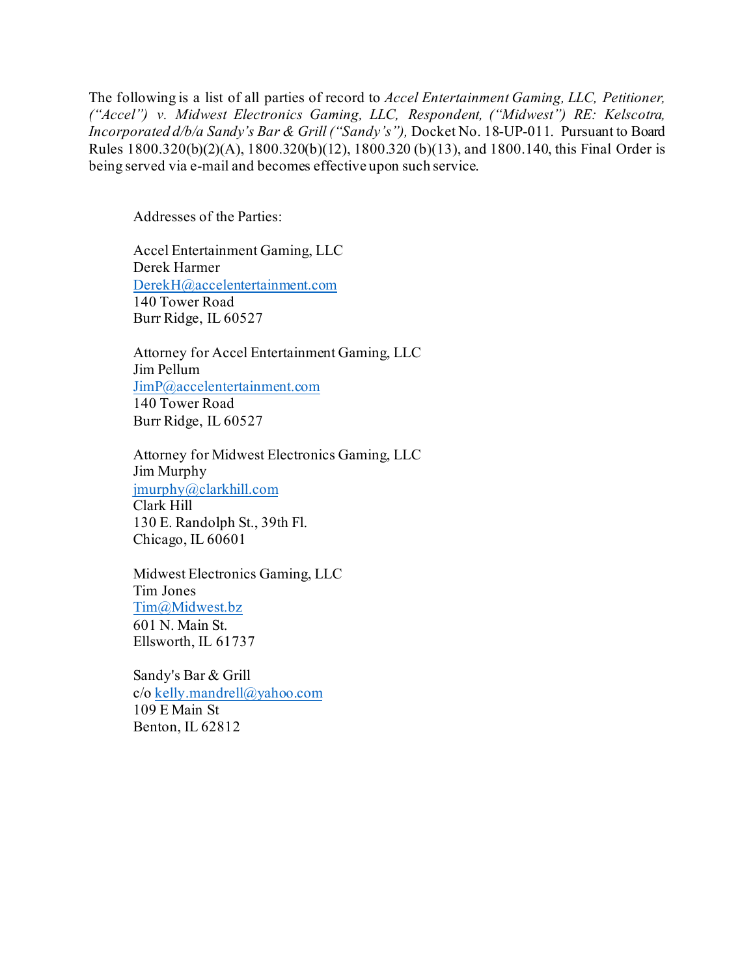The following is a list of all parties of record to *Accel Entertainment Gaming, LLC, Petitioner, ("Accel") v. Midwest Electronics Gaming, LLC, Respondent, ("Midwest") RE: Kelscotra, Incorporated d/b/a Sandy's Bar & Grill ("Sandy's"),* Docket No. 18-UP-011. Pursuant to Board Rules 1800.320(b)(2)(A), 1800.320(b)(12), 1800.320 (b)(13), and 1800.140, this Final Order is being served via e-mail and becomes effective upon such service.

Addresses of the Parties:

Accel Entertainment Gaming, LLC Derek Harmer [DerekH@accelentertainment.com](mailto:DerekH@accelentertainment.com) 140 Tower Road Burr Ridge, IL 60527

Attorney for Accel Entertainment Gaming, LLC Jim Pellum [JimP@accelentertainment.com](mailto:JimP@accelentertainment.com) 140 Tower Road Burr Ridge, IL 60527

Attorney for Midwest Electronics Gaming, LLC Jim Murphy [jmurphy@clarkhill.com](mailto:jmurphy@clarkhill.com) Clark Hill 130 E. Randolph St., 39th Fl. Chicago, IL 60601

Midwest Electronics Gaming, LLC Tim Jones [Tim@Midwest.bz](mailto:Tim@Midwest.bz) 601 N. Main St. Ellsworth, IL 61737

Sandy's Bar & Grill c/o [kelly.mandrell@yahoo.com](mailto:kelly.mandrell@yahoo.com) 109 E Main St Benton, IL 62812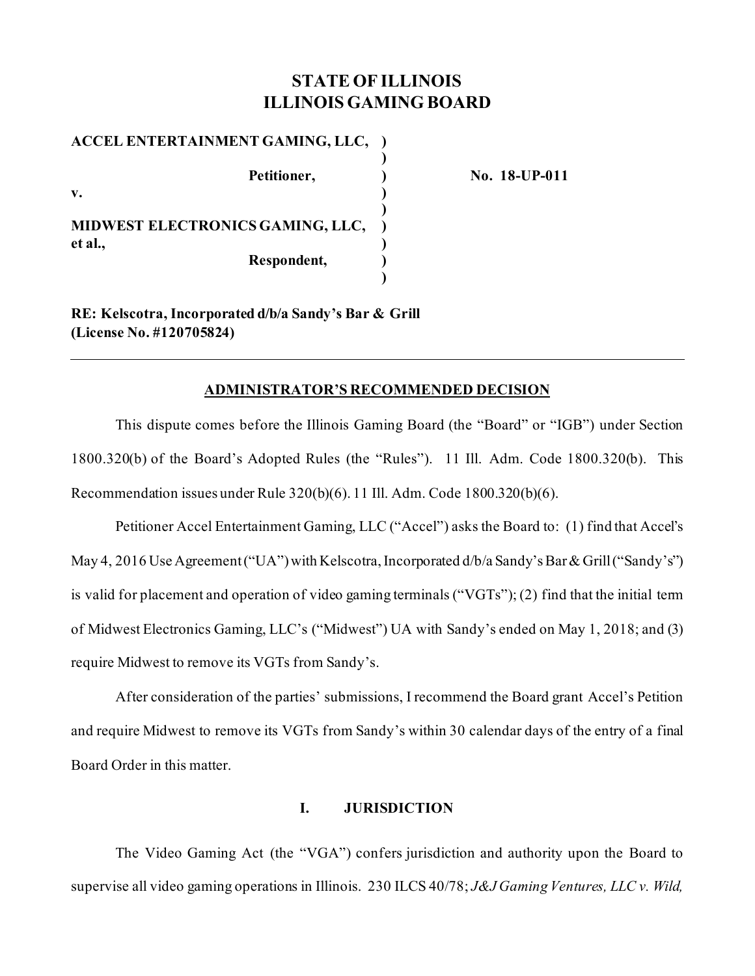# **STATE OF ILLINOIS ILLINOIS GAMING BOARD**

| ACCEL ENTERTAINMENT GAMING, LLC, |  |
|----------------------------------|--|
| Petitioner,                      |  |
| $\mathbf{v}$ .                   |  |
| MIDWEST ELECTRONICS GAMING, LLC, |  |
| et al.,<br>Respondent,           |  |
|                                  |  |

**Petitioner, ) No. 18-UP-011**

**RE: Kelscotra, Incorporated d/b/a Sandy's Bar & Grill (License No. #120705824)**

#### **ADMINISTRATOR'S RECOMMENDED DECISION**

This dispute comes before the Illinois Gaming Board (the "Board" or "IGB") under Section 1800.320(b) of the Board's Adopted Rules (the "Rules"). 11 Ill. Adm. Code 1800.320(b). This Recommendation issues under Rule 320(b)(6). 11 Ill. Adm. Code 1800.320(b)(6).

Petitioner Accel Entertainment Gaming, LLC ("Accel") asks the Board to: (1) find that Accel's May 4, 2016 Use Agreement ("UA") with Kelscotra, Incorporated d/b/a Sandy's Bar & Grill ("Sandy's") is valid for placement and operation of video gaming terminals ("VGTs"); (2) find that the initial term of Midwest Electronics Gaming, LLC's ("Midwest") UA with Sandy's ended on May 1, 2018; and (3) require Midwest to remove its VGTs from Sandy's.

After consideration of the parties' submissions, I recommend the Board grant Accel's Petition and require Midwest to remove its VGTs from Sandy's within 30 calendar days of the entry of a final Board Order in this matter.

## **I. JURISDICTION**

The Video Gaming Act (the "VGA") confers jurisdiction and authority upon the Board to supervise all video gaming operations in Illinois. 230 ILCS 40/78; *J&J Gaming Ventures, LLC v. Wild,*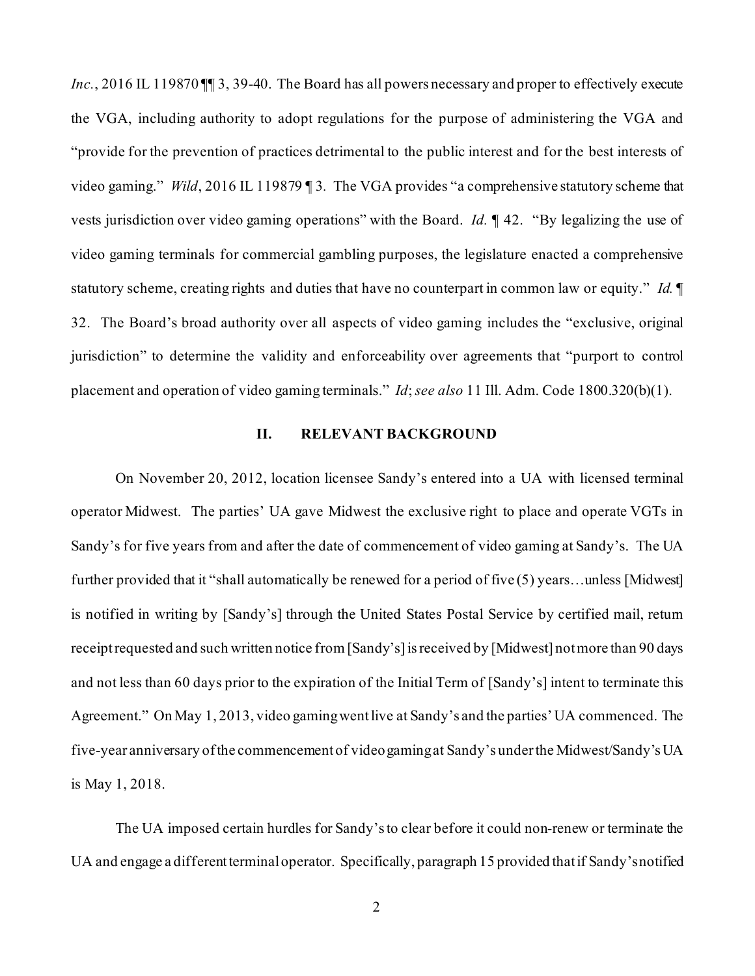Inc., 2016 IL 119870 II 3, 39-40. The Board has all powers necessary and proper to effectively execute the VGA, including authority to adopt regulations for the purpose of administering the VGA and "provide for the prevention of practices detrimental to the public interest and for the best interests of video gaming." *Wild*, 2016 IL 119879 ¶ 3*.* The VGA provides "a comprehensive statutory scheme that vests jurisdiction over video gaming operations" with the Board. *Id.* ¶ 42. "By legalizing the use of video gaming terminals for commercial gambling purposes, the legislature enacted a comprehensive statutory scheme, creating rights and duties that have no counterpart in common law or equity." *Id.* ¶ 32. The Board's broad authority over all aspects of video gaming includes the "exclusive, original jurisdiction" to determine the validity and enforceability over agreements that "purport to control placement and operation of video gaming terminals." *Id*; *see also* 11 Ill. Adm. Code 1800.320(b)(1).

## **II. RELEVANT BACKGROUND**

On November 20, 2012, location licensee Sandy's entered into a UA with licensed terminal operator Midwest. The parties' UA gave Midwest the exclusive right to place and operate VGTs in Sandy's for five years from and after the date of commencement of video gaming at Sandy's. The UA further provided that it "shall automatically be renewed for a period of five (5) years…unless [Midwest] is notified in writing by [Sandy's] through the United States Postal Service by certified mail, return receipt requested and such written notice from [Sandy's] is received by [Midwest] not more than 90 days and not less than 60 days prior to the expiration of the Initial Term of [Sandy's] intent to terminate this Agreement." On May 1, 2013, video gaming went live at Sandy's and the parties' UA commenced. The five-year anniversary of the commencement of video gaming at Sandy's under the Midwest/Sandy's UA is May 1, 2018.

The UA imposed certain hurdles for Sandy'sto clear before it could non-renew or terminate the UA and engage a different terminal operator. Specifically, paragraph 15 provided that if Sandy'snotified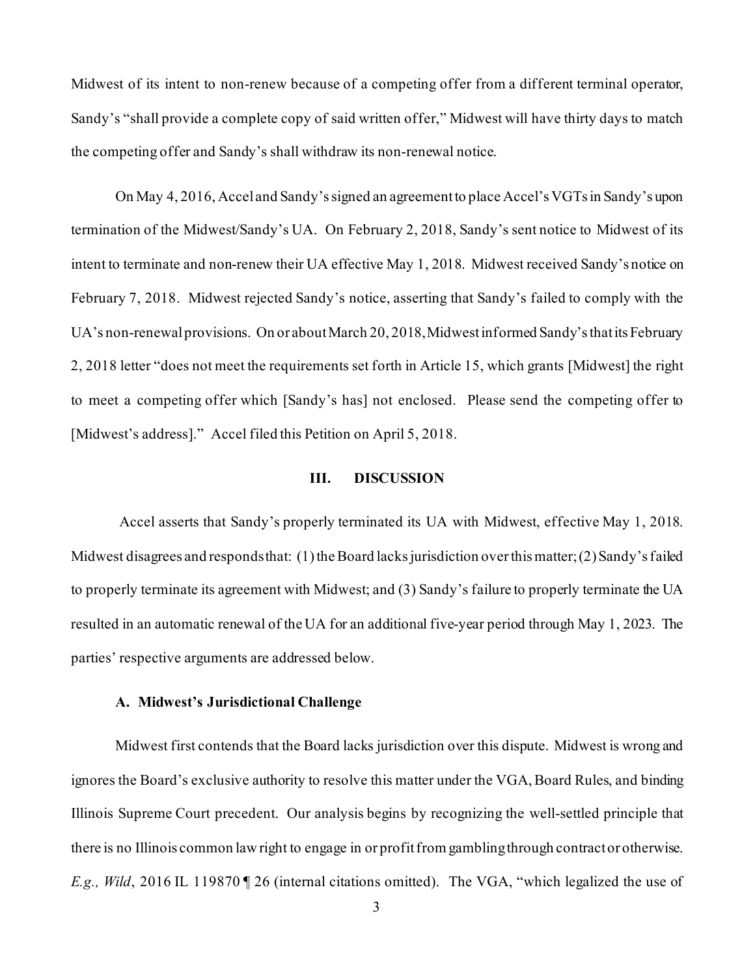Midwest of its intent to non-renew because of a competing offer from a different terminal operator, Sandy's "shall provide a complete copy of said written offer," Midwest will have thirty days to match the competing offer and Sandy's shall withdraw its non-renewal notice.

On May 4, 2016, Accel and Sandy'ssigned an agreement to place Accel's VGTs in Sandy's upon termination of the Midwest/Sandy's UA. On February 2, 2018, Sandy's sent notice to Midwest of its intent to terminate and non-renew their UA effective May 1, 2018. Midwest received Sandy's notice on February 7, 2018. Midwest rejected Sandy's notice, asserting that Sandy's failed to comply with the UA's non-renewal provisions. On or about March 20, 2018, Midwest informed Sandy'sthat its February 2, 2018 letter "does not meet the requirements set forth in Article 15, which grants [Midwest] the right to meet a competing offer which [Sandy's has] not enclosed. Please send the competing offer to [Midwest's address]." Accel filed this Petition on April 5, 2018.

#### **III. DISCUSSION**

Accel asserts that Sandy's properly terminated its UA with Midwest, effective May 1, 2018. Midwest disagrees and responds that: (1) the Board lacks jurisdiction over this matter; (2) Sandy's failed to properly terminate its agreement with Midwest; and (3) Sandy's failure to properly terminate the UA resulted in an automatic renewal of the UA for an additional five-year period through May 1, 2023. The parties' respective arguments are addressed below.

#### **A. Midwest's Jurisdictional Challenge**

Midwest first contends that the Board lacks jurisdiction over this dispute. Midwest is wrong and ignores the Board's exclusive authority to resolve this matter under the VGA, Board Rules, and binding Illinois Supreme Court precedent. Our analysis begins by recognizing the well-settled principle that there is no Illinois common law right to engage in or profit from gambling through contract or otherwise. *E.g., Wild*, 2016 IL 119870 ¶ 26 (internal citations omitted). The VGA, "which legalized the use of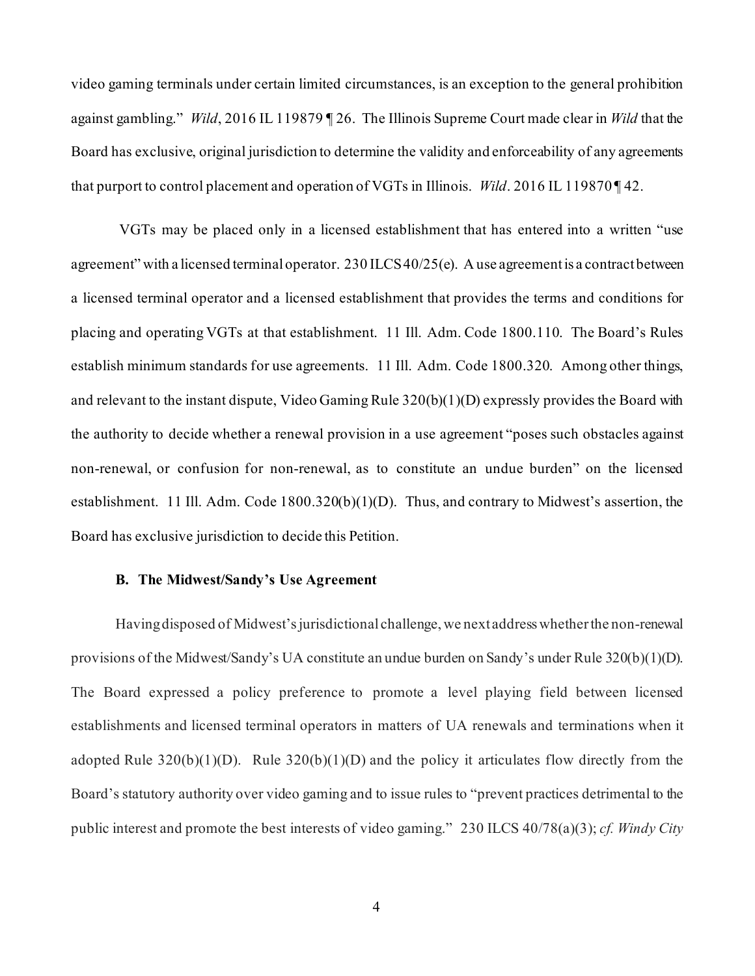video gaming terminals under certain limited circumstances, is an exception to the general prohibition against gambling." *Wild*, 2016 IL 119879 ¶ 26. The Illinois Supreme Court made clear in *Wild* that the Board has exclusive, original jurisdiction to determine the validity and enforceability of any agreements that purport to control placement and operation of VGTs in Illinois. *Wild*. 2016 IL 119870 ¶ 42.

VGTs may be placed only in a licensed establishment that has entered into a written "use agreement" with a licensed terminal operator. 230 ILCS 40/25(e). A use agreement is a contract between a licensed terminal operator and a licensed establishment that provides the terms and conditions for placing and operating VGTs at that establishment. 11 Ill. Adm. Code 1800.110. The Board's Rules establish minimum standards for use agreements. 11 Ill. Adm. Code 1800.320. Among other things, and relevant to the instant dispute, Video Gaming Rule 320(b)(1)(D) expressly provides the Board with the authority to decide whether a renewal provision in a use agreement "poses such obstacles against non-renewal, or confusion for non-renewal, as to constitute an undue burden" on the licensed establishment. 11 Ill. Adm. Code 1800.320(b)(1)(D). Thus, and contrary to Midwest's assertion, the Board has exclusive jurisdiction to decide this Petition.

#### **B. The Midwest/Sandy's Use Agreement**

Having disposed of Midwest's jurisdictional challenge, we next address whether the non-renewal provisions of the Midwest/Sandy's UA constitute an undue burden on Sandy's under Rule 320(b)(1)(D). The Board expressed a policy preference to promote a level playing field between licensed establishments and licensed terminal operators in matters of UA renewals and terminations when it adopted Rule  $320(b)(1)(D)$ . Rule  $320(b)(1)(D)$  and the policy it articulates flow directly from the Board's statutory authority over video gaming and to issue rules to "prevent practices detrimental to the public interest and promote the best interests of video gaming." 230 ILCS 40/78(a)(3); *cf. Windy City*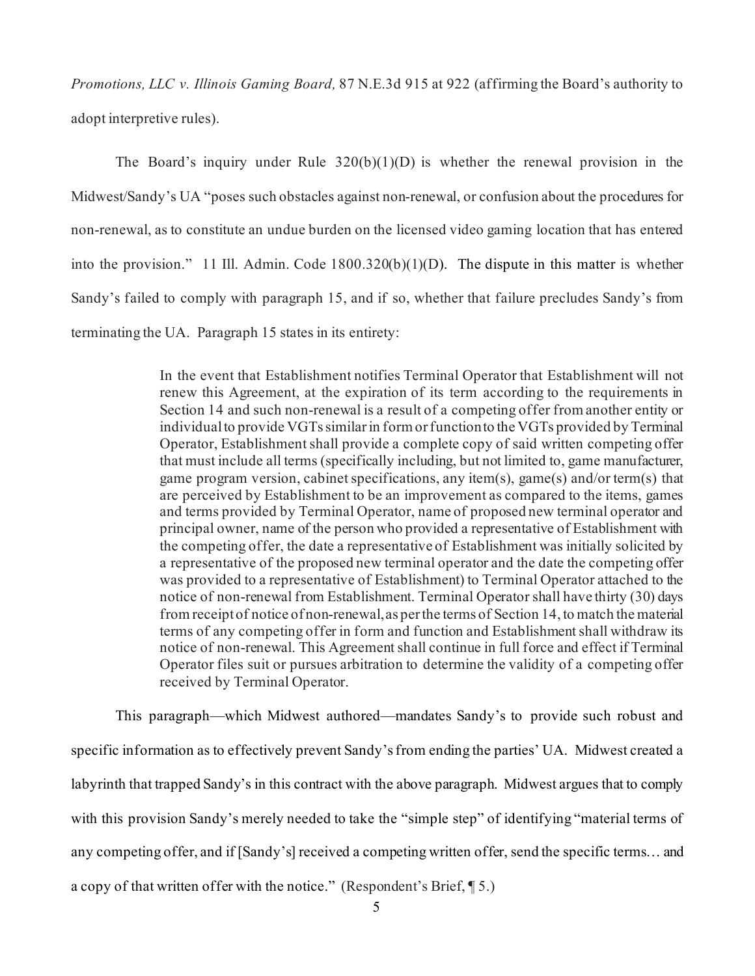*Promotions, LLC v. Illinois Gaming Board,* 87 N.E.3d 915 at 922 (affirming the Board's authority to adopt interpretive rules).

The Board's inquiry under Rule  $320(b)(1)(D)$  is whether the renewal provision in the Midwest/Sandy's UA "poses such obstacles against non-renewal, or confusion about the procedures for non-renewal, as to constitute an undue burden on the licensed video gaming location that has entered into the provision." 11 Ill. Admin. Code 1800.320(b)(1)(D). The dispute in this matter is whether Sandy's failed to comply with paragraph 15, and if so, whether that failure precludes Sandy's from terminating the UA. Paragraph 15 states in its entirety:

> In the event that Establishment notifies Terminal Operator that Establishment will not renew this Agreement, at the expiration of its term according to the requirements in Section 14 and such non-renewal is a result of a competing offer from another entity or individual to provide VGTs similar in form or function to the VGTs provided by Terminal Operator, Establishment shall provide a complete copy of said written competing offer that must include all terms (specifically including, but not limited to, game manufacturer, game program version, cabinet specifications, any item(s), game(s) and/or term(s) that are perceived by Establishment to be an improvement as compared to the items, games and terms provided by Terminal Operator, name of proposed new terminal operator and principal owner, name of the person who provided a representative of Establishment with the competing offer, the date a representative of Establishment was initially solicited by a representative of the proposed new terminal operator and the date the competing offer was provided to a representative of Establishment) to Terminal Operator attached to the notice of non-renewal from Establishment. Terminal Operator shall have thirty (30) days from receipt of notice of non-renewal, as per the terms of Section 14, to match the material terms of any competing offer in form and function and Establishment shall withdraw its notice of non-renewal. This Agreement shall continue in full force and effect if Terminal Operator files suit or pursues arbitration to determine the validity of a competing offer received by Terminal Operator.

This paragraph—which Midwest authored—mandates Sandy's to provide such robust and specific information as to effectively prevent Sandy'sfrom ending the parties' UA. Midwest created a labyrinth that trapped Sandy's in this contract with the above paragraph. Midwest argues that to comply with this provision Sandy's merely needed to take the "simple step" of identifying "material terms of any competing offer, and if [Sandy's] received a competing written offer, send the specific terms… and a copy of that written offer with the notice." (Respondent's Brief, ¶ 5.)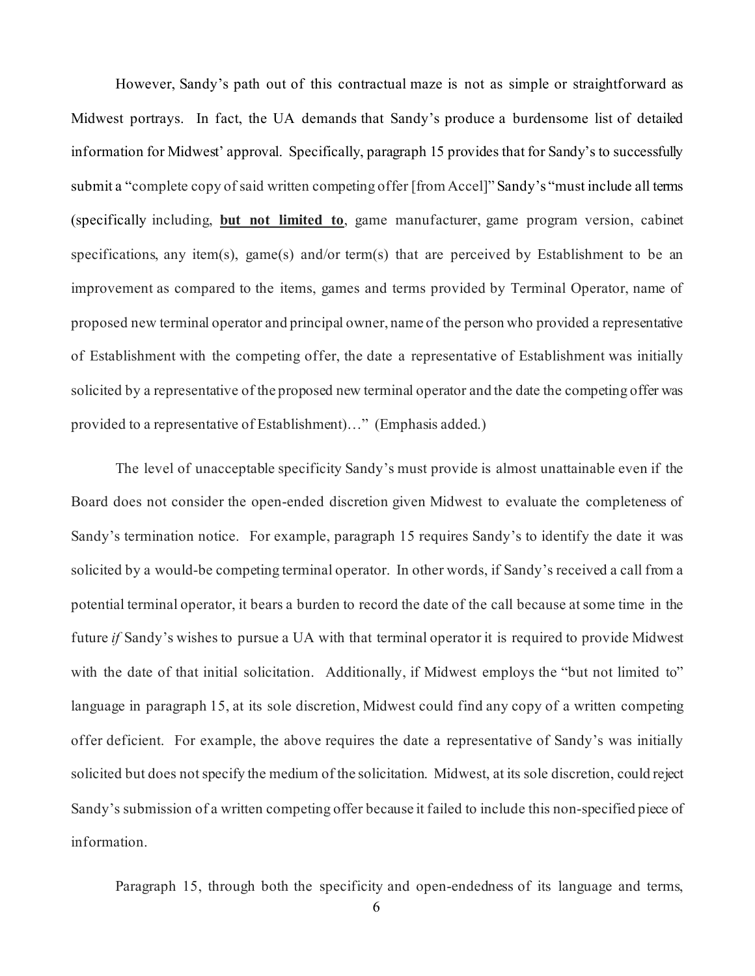However, Sandy's path out of this contractual maze is not as simple or straightforward as Midwest portrays. In fact, the UA demands that Sandy's produce a burdensome list of detailed information for Midwest' approval. Specifically, paragraph 15 provides that for Sandy's to successfully submit a "complete copy of said written competing offer [from Accel]" Sandy's "must include all terms (specifically including, **but not limited to**, game manufacturer, game program version, cabinet specifications, any item(s), game(s) and/or term(s) that are perceived by Establishment to be an improvement as compared to the items, games and terms provided by Terminal Operator, name of proposed new terminal operator and principal owner, name of the person who provided a representative of Establishment with the competing offer, the date a representative of Establishment was initially solicited by a representative of the proposed new terminal operator and the date the competing offer was provided to a representative of Establishment)…" (Emphasis added.)

The level of unacceptable specificity Sandy's must provide is almost unattainable even if the Board does not consider the open-ended discretion given Midwest to evaluate the completeness of Sandy's termination notice. For example, paragraph 15 requires Sandy's to identify the date it was solicited by a would-be competing terminal operator. In other words, if Sandy's received a call from a potential terminal operator, it bears a burden to record the date of the call because at some time in the future *if* Sandy's wishes to pursue a UA with that terminal operator it is required to provide Midwest with the date of that initial solicitation. Additionally, if Midwest employs the "but not limited to" language in paragraph 15, at its sole discretion, Midwest could find any copy of a written competing offer deficient. For example, the above requires the date a representative of Sandy's was initially solicited but does not specify the medium of the solicitation. Midwest, at its sole discretion, could reject Sandy's submission of a written competing offer because it failed to include this non-specified piece of information.

Paragraph 15, through both the specificity and open-endedness of its language and terms,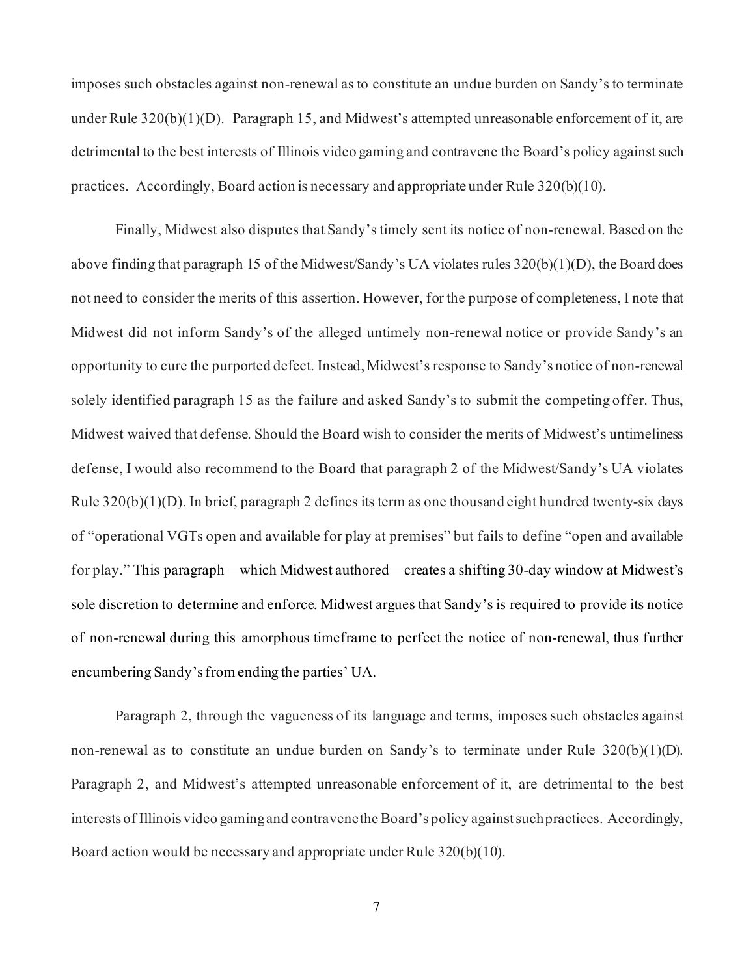imposes such obstacles against non-renewal as to constitute an undue burden on Sandy's to terminate under Rule 320(b)(1)(D). Paragraph 15, and Midwest's attempted unreasonable enforcement of it, are detrimental to the best interests of Illinois video gaming and contravene the Board's policy against such practices. Accordingly, Board action is necessary and appropriate under Rule 320(b)(10).

Finally, Midwest also disputes that Sandy's timely sent its notice of non-renewal. Based on the above finding that paragraph 15 of the Midwest/Sandy's UA violates rules 320(b)(1)(D), the Board does not need to consider the merits of this assertion. However, for the purpose of completeness, I note that Midwest did not inform Sandy's of the alleged untimely non-renewal notice or provide Sandy's an opportunity to cure the purported defect. Instead, Midwest's response to Sandy's notice of non-renewal solely identified paragraph 15 as the failure and asked Sandy's to submit the competing offer. Thus, Midwest waived that defense. Should the Board wish to consider the merits of Midwest's untimeliness defense, I would also recommend to the Board that paragraph 2 of the Midwest/Sandy's UA violates Rule 320(b)(1)(D). In brief, paragraph 2 defines its term as one thousand eight hundred twenty-six days of "operational VGTs open and available for play at premises" but fails to define "open and available for play." This paragraph—which Midwest authored—creates a shifting 30-day window at Midwest's sole discretion to determine and enforce. Midwest argues that Sandy's is required to provide its notice of non-renewal during this amorphous timeframe to perfect the notice of non-renewal, thus further encumbering Sandy's from ending the parties' UA.

Paragraph 2, through the vagueness of its language and terms, imposes such obstacles against non-renewal as to constitute an undue burden on Sandy's to terminate under Rule  $320(b)(1)(D)$ . Paragraph 2, and Midwest's attempted unreasonable enforcement of it, are detrimental to the best interests of Illinois video gaming and contravene the Board's policy against such practices. Accordingly, Board action would be necessary and appropriate under Rule 320(b)(10).